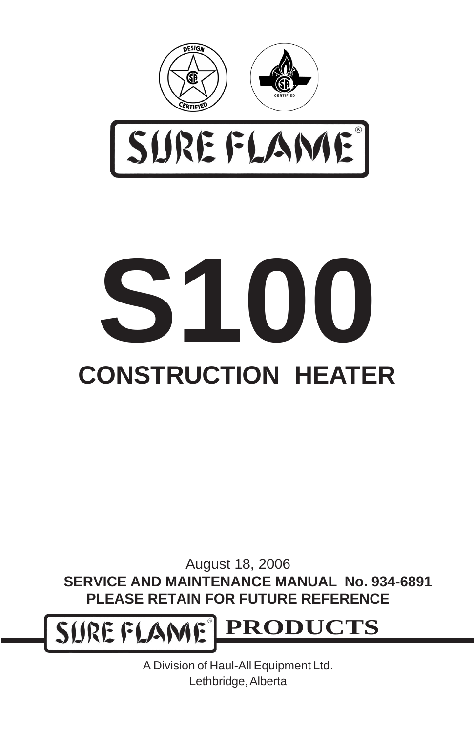



# **CONSTRUCTION HEATER S100**

August 18, 2006 **SERVICE AND MAINTENANCE MANUAL No. 934-6891 PLEASE RETAIN FOR FUTURE REFERENCE**

SURE FLAME® **PRODUCTS**

> A Division of Haul-All Equipment Ltd. Lethbridge, Alberta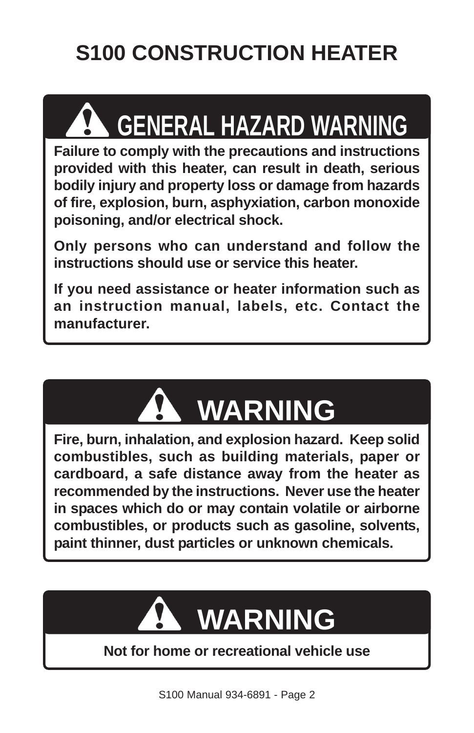## **S100 CONSTRUCTION HEATER**

## **GENERAL HAZARD WARNING**

**Failure to comply with the precautions and instructions provided with this heater, can result in death, serious bodily injury and property loss or damage from hazards of fire, explosion, burn, asphyxiation, carbon monoxide poisoning, and/or electrical shock.**

**Only persons who can understand and follow the instructions should use or service this heater.**

**If you need assistance or heater information such as an instruction manual, labels, etc. Contact the manufacturer.**



**Fire, burn, inhalation, and explosion hazard. Keep solid combustibles, such as building materials, paper or cardboard, a safe distance away from the heater as recommended by the instructions. Never use the heater in spaces which do or may contain volatile or airborne combustibles, or products such as gasoline, solvents, paint thinner, dust particles or unknown chemicals.**

## **WARNING**

#### **Not for home or recreational vehicle use**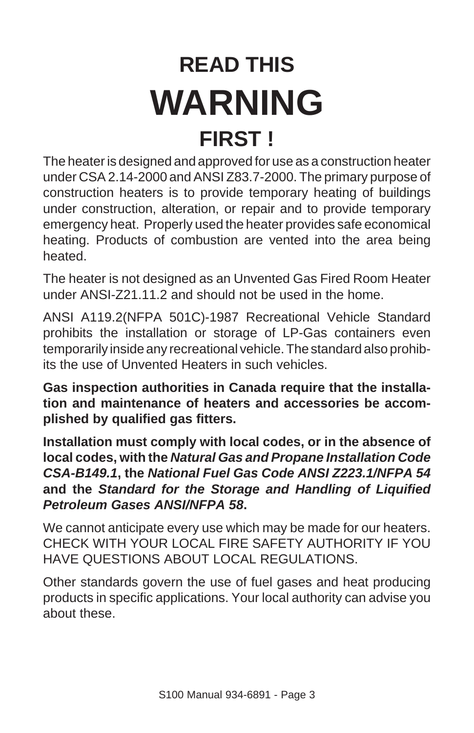## **READ THIS WARNING FIRST !**

The heater is designed and approved for use as a construction heater under CSA 2.14-2000 and ANSI Z83.7-2000. The primary purpose of construction heaters is to provide temporary heating of buildings under construction, alteration, or repair and to provide temporary emergency heat. Properly used the heater provides safe economical heating. Products of combustion are vented into the area being heated.

The heater is not designed as an Unvented Gas Fired Room Heater under ANSI-Z21.11.2 and should not be used in the home.

ANSI A119.2(NFPA 501C)-1987 Recreational Vehicle Standard prohibits the installation or storage of LP-Gas containers even temporarily inside any recreational vehicle. The standard also prohibits the use of Unvented Heaters in such vehicles.

**Gas inspection authorities in Canada require that the installation and maintenance of heaters and accessories be accomplished by qualified gas fitters.**

**Installation must comply with local codes, or in the absence of local codes, with the** *Natural Gas and Propane Installation Code CSA-B149.1***, the** *National Fuel Gas Code ANSI Z223.1/NFPA 54* **and the** *Standard for the Storage and Handling of Liquified Petroleum Gases ANSI/NFPA 58***.**

We cannot anticipate every use which may be made for our heaters. CHECK WITH YOUR LOCAL FIRE SAFETY AUTHORITY IF YOU HAVE QUESTIONS ABOUT LOCAL REGULATIONS.

Other standards govern the use of fuel gases and heat producing products in specific applications. Your local authority can advise you about these.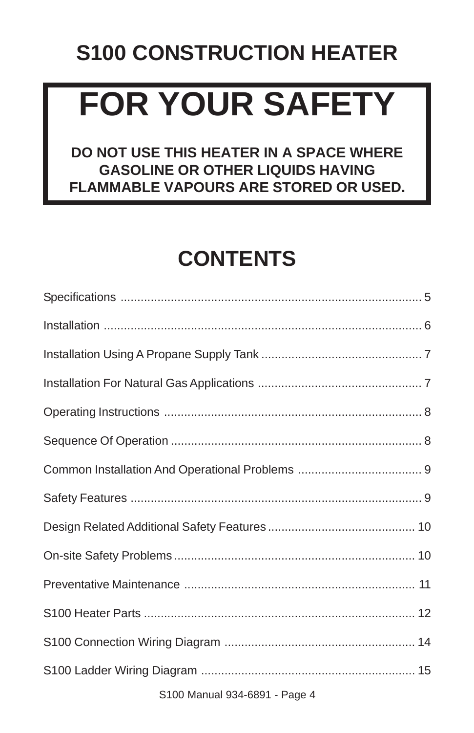## **S100 CONSTRUCTION HEATER**

## **FOR YOUR SAFETY**

#### **DO NOT USE THIS HEATER IN A SPACE WHERE GASOLINE OR OTHER LIQUIDS HAVING FLAMMABLE VAPOURS ARE STORED OR USED.**

## **CONTENTS**

| . |  |
|---|--|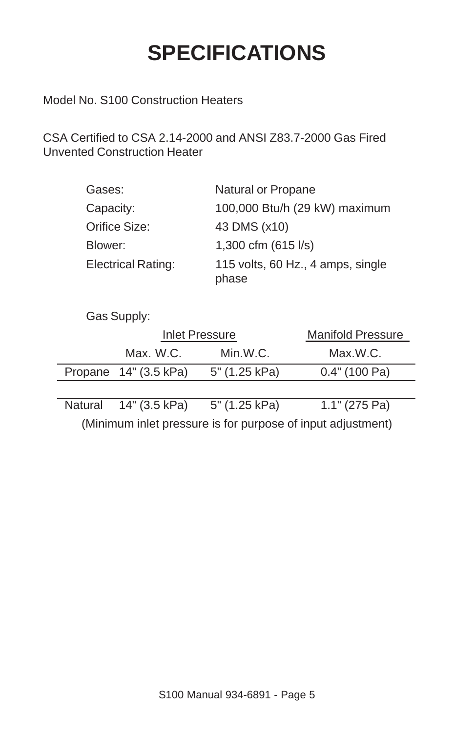## **SPECIFICATIONS**

Model No. S100 Construction Heaters

CSA Certified to CSA 2.14-2000 and ANSI Z83.7-2000 Gas Fired Unvented Construction Heater

| Gases:                    | Natural or Propane                         |
|---------------------------|--------------------------------------------|
| Capacity:                 | 100,000 Btu/h (29 kW) maximum              |
| Orifice Size:             | 43 DMS (x10)                               |
| Blower:                   | 1,300 cfm (615 l/s)                        |
| <b>Electrical Rating:</b> | 115 volts, 60 Hz., 4 amps, single<br>phase |

Gas Supply:

| Inlet Pressure          |               | Manifold Pressure |
|-------------------------|---------------|-------------------|
| Max. W.C.               | Min.W.C.      | Max.W.C.          |
| Propane $14"$ (3.5 kPa) | 5" (1.25 kPa) | $0.4"$ (100 Pa)   |
|                         |               |                   |

Natural 14" (3.5 kPa) 5" (1.25 kPa) 1.1" (275 Pa) (Minimum inlet pressure is for purpose of input adjustment)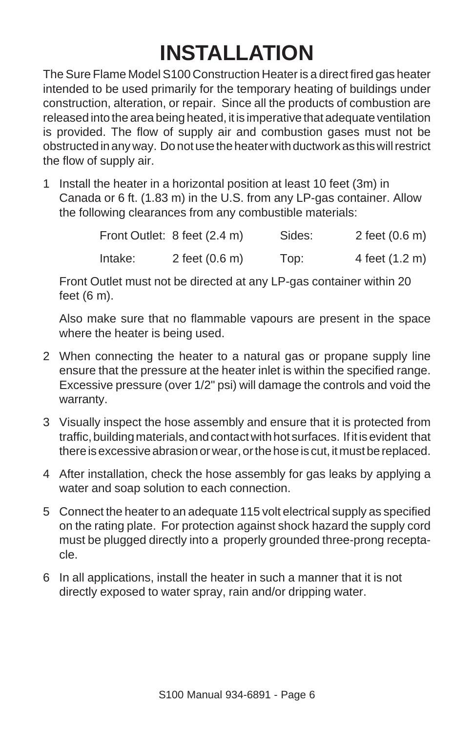## **INSTALLATION**

The Sure Flame Model S100 Construction Heater is a direct fired gas heater intended to be used primarily for the temporary heating of buildings under construction, alteration, or repair. Since all the products of combustion are released into the area being heated, it is imperative that adequate ventilation is provided. The flow of supply air and combustion gases must not be obstructed in any way. Do not use the heater with ductwork as this will restrict the flow of supply air.

1 Install the heater in a horizontal position at least 10 feet (3m) in Canada or 6 ft. (1.83 m) in the U.S. from any LP-gas container. Allow the following clearances from any combustible materials:

|         | Front Outlet: 8 feet (2.4 m) | Sides: | 2 feet $(0.6 \, \text{m})$ |
|---------|------------------------------|--------|----------------------------|
| Intake: | 2 feet $(0.6 \, \text{m})$   | Top:   | 4 feet (1.2 m)             |

Front Outlet must not be directed at any LP-gas container within 20 feet (6 m).

Also make sure that no flammable vapours are present in the space where the heater is being used.

- 2 When connecting the heater to a natural gas or propane supply line ensure that the pressure at the heater inlet is within the specified range. Excessive pressure (over 1/2" psi) will damage the controls and void the warranty.
- 3 Visually inspect the hose assembly and ensure that it is protected from traffic, building materials, and contact with hot surfaces. If it is evident that there is excessive abrasion or wear, or the hose is cut, it must be replaced.
- 4 After installation, check the hose assembly for gas leaks by applying a water and soap solution to each connection.
- 5 Connect the heater to an adequate 115 volt electrical supply as specified on the rating plate. For protection against shock hazard the supply cord must be plugged directly into a properly grounded three-prong receptacle.
- 6 In all applications, install the heater in such a manner that it is not directly exposed to water spray, rain and/or dripping water.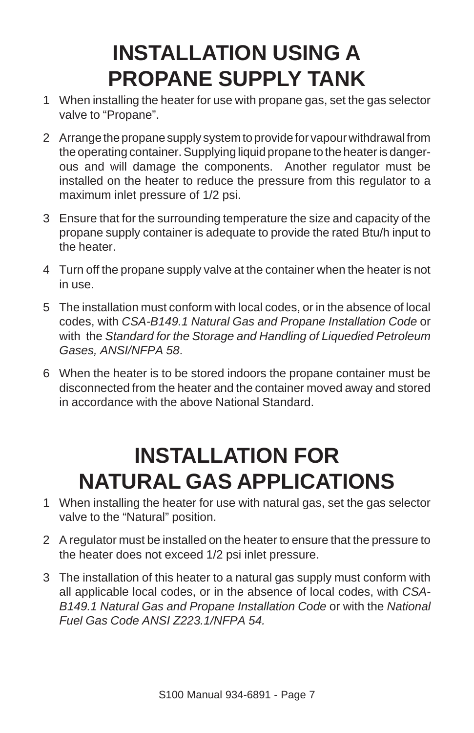### **INSTALLATION USING A PROPANE SUPPLY TANK**

- 1 When installing the heater for use with propane gas, set the gas selector valve to "Propane".
- 2 Arrange the propane supply system to provide for vapour withdrawal from the operating container. Supplying liquid propane to the heater is dangerous and will damage the components. Another regulator must be installed on the heater to reduce the pressure from this regulator to a maximum inlet pressure of 1/2 psi.
- 3 Ensure that for the surrounding temperature the size and capacity of the propane supply container is adequate to provide the rated Btu/h input to the heater.
- 4 Turn off the propane supply valve at the container when the heater is not in use.
- 5 The installation must conform with local codes, or in the absence of local codes, with *CSA-B149.1 Natural Gas and Propane Installation Code* or with the *Standard for the Storage and Handling of Liquedied Petroleum Gases, ANSI/NFPA 58*.
- 6 When the heater is to be stored indoors the propane container must be disconnected from the heater and the container moved away and stored in accordance with the above National Standard.

#### **INSTALLATION FOR NATURAL GAS APPLICATIONS**

- 1 When installing the heater for use with natural gas, set the gas selector valve to the "Natural" position.
- 2 A regulator must be installed on the heater to ensure that the pressure to the heater does not exceed 1/2 psi inlet pressure.
- 3 The installation of this heater to a natural gas supply must conform with all applicable local codes, or in the absence of local codes, with *CSA-B149.1 Natural Gas and Propane Installation Code* or with the *National Fuel Gas Code ANSI Z223.1/NFPA 54.*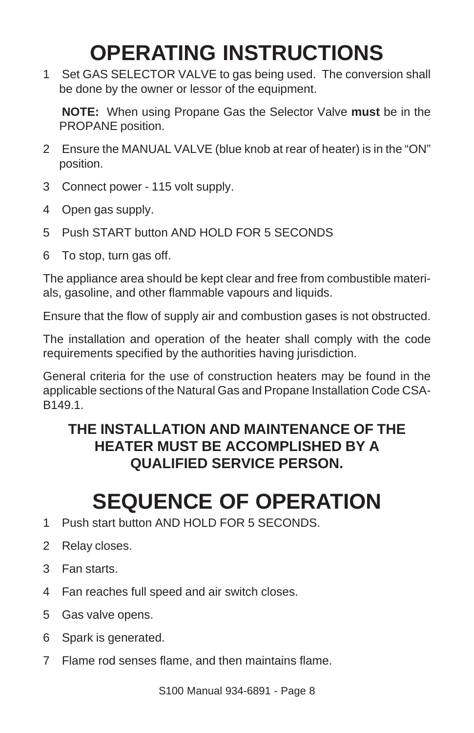## **OPERATING INSTRUCTIONS**

1 Set GAS SELECTOR VALVE to gas being used. The conversion shall be done by the owner or lessor of the equipment.

**NOTE:** When using Propane Gas the Selector Valve **must** be in the PROPANE position.

- 2 Ensure the MANUAL VALVE (blue knob at rear of heater) is in the "ON" position.
- 3 Connect power 115 volt supply.
- 4 Open gas supply.
- 5 Push START button AND HOLD FOR 5 SECONDS
- 6 To stop, turn gas off.

The appliance area should be kept clear and free from combustible materials, gasoline, and other flammable vapours and liquids.

Ensure that the flow of supply air and combustion gases is not obstructed.

The installation and operation of the heater shall comply with the code requirements specified by the authorities having jurisdiction.

General criteria for the use of construction heaters may be found in the applicable sections of the Natural Gas and Propane Installation Code CSA-B149.1.

#### **THE INSTALLATION AND MAINTENANCE OF THE HEATER MUST BE ACCOMPLISHED BY A QUALIFIED SERVICE PERSON.**

#### **SEQUENCE OF OPERATION**

- 1 Push start button AND HOLD FOR 5 SECONDS.
- 2 Relay closes.
- 3 Fan starts.
- 4 Fan reaches full speed and air switch closes.
- 5 Gas valve opens.
- 6 Spark is generated.
- 7 Flame rod senses flame, and then maintains flame.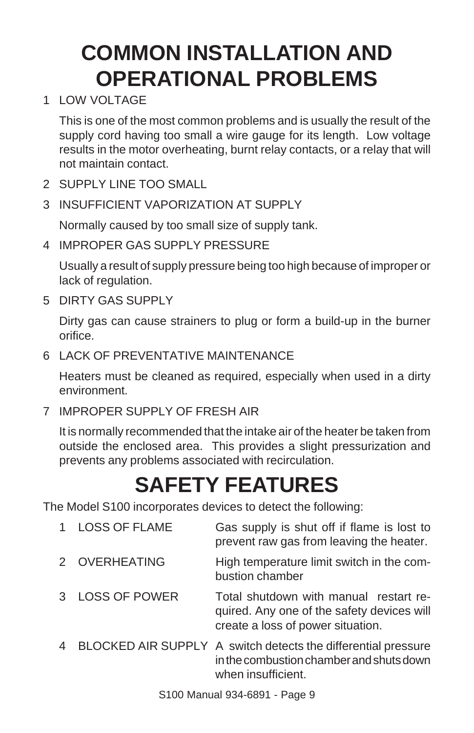### **COMMON INSTALLATION AND OPERATIONAL PROBLEMS**

1 LOW VOLTAGE

This is one of the most common problems and is usually the result of the supply cord having too small a wire gauge for its length. Low voltage results in the motor overheating, burnt relay contacts, or a relay that will not maintain contact.

- 2 SUPPLY LINE TOO SMALL
- 3 INSUFFICIENT VAPORIZATION AT SUPPLY

Normally caused by too small size of supply tank.

4 IMPROPER GAS SUPPLY PRESSURE

Usually a result of supply pressure being too high because of improper or lack of regulation.

5 DIRTY GAS SUPPLY

Dirty gas can cause strainers to plug or form a build-up in the burner orifice.

6 LACK OF PREVENTATIVE MAINTENANCE

Heaters must be cleaned as required, especially when used in a dirty environment.

7 IMPROPER SUPPLY OF FRESH AIR

It is normally recommended that the intake air of the heater be taken from outside the enclosed area. This provides a slight pressurization and prevents any problems associated with recirculation.

## **SAFETY FEATURES**

The Model S100 incorporates devices to detect the following:

| 1 | <b>LOSS OF FLAME</b> | Gas supply is shut off if flame is lost to<br>prevent raw gas from leaving the heater.                                          |
|---|----------------------|---------------------------------------------------------------------------------------------------------------------------------|
|   | 2 OVERHEATING        | High temperature limit switch in the com-<br>bustion chamber                                                                    |
| 3 | <b>LOSS OF POWER</b> | Total shutdown with manual restart re-<br>quired. Any one of the safety devices will<br>create a loss of power situation.       |
|   |                      | BLOCKED AIR SUPPLY A switch detects the differential pressure<br>in the combustion chamber and shuts down<br>when insufficient. |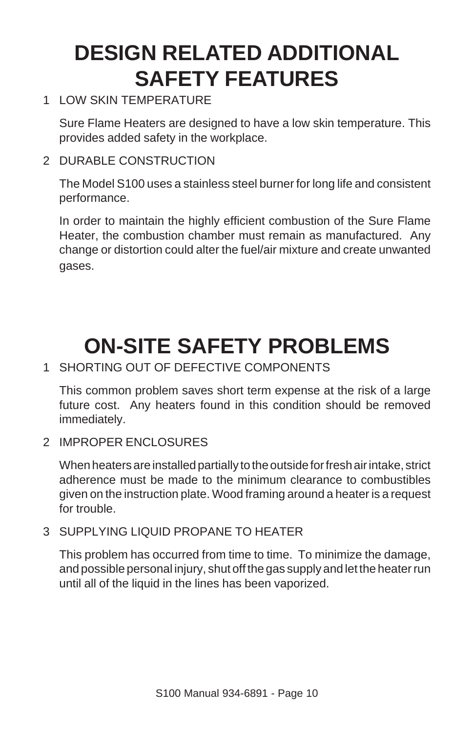### **DESIGN RELATED ADDITIONAL SAFETY FEATURES**

#### 1 LOW SKIN TEMPERATURE

Sure Flame Heaters are designed to have a low skin temperature. This provides added safety in the workplace.

#### 2 DURABLE CONSTRUCTION

The Model S100 uses a stainless steel burner for long life and consistent performance.

In order to maintain the highly efficient combustion of the Sure Flame Heater, the combustion chamber must remain as manufactured. Any change or distortion could alter the fuel/air mixture and create unwanted gases.

### **ON-SITE SAFETY PROBLEMS**

#### 1 SHORTING OUT OF DEFECTIVE COMPONENTS

This common problem saves short term expense at the risk of a large future cost. Any heaters found in this condition should be removed immediately.

2 IMPROPER ENCLOSURES

When heaters are installed partially to the outside for fresh air intake, strict adherence must be made to the minimum clearance to combustibles given on the instruction plate. Wood framing around a heater is a request for trouble.

#### 3 SUPPLYING LIQUID PROPANE TO HEATER

This problem has occurred from time to time. To minimize the damage, and possible personal injury, shut off the gas supply and let the heater run until all of the liquid in the lines has been vaporized.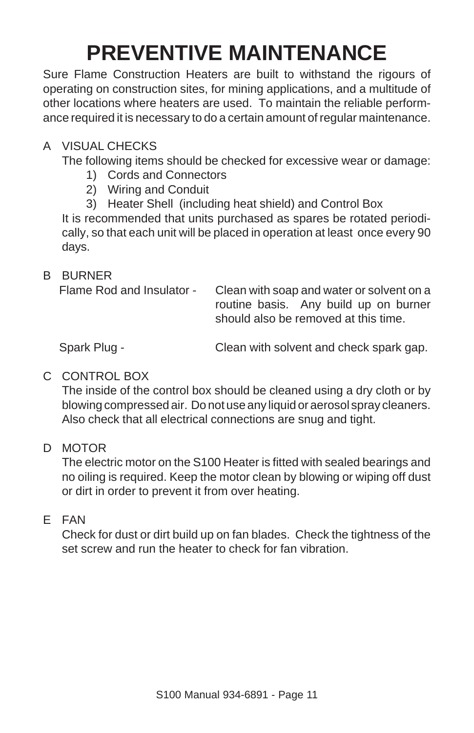## **PREVENTIVE MAINTENANCE**

Sure Flame Construction Heaters are built to withstand the rigours of operating on construction sites, for mining applications, and a multitude of other locations where heaters are used. To maintain the reliable performance required it is necessary to do a certain amount of regular maintenance.

#### A VISUAL CHECKS

The following items should be checked for excessive wear or damage:

- 1) Cords and Connectors
- 2) Wiring and Conduit
- 3) Heater Shell (including heat shield) and Control Box

It is recommended that units purchased as spares be rotated periodically, so that each unit will be placed in operation at least once every 90 days.

#### B BURNER

Flame Rod and Insulator - Clean with soap and water or solvent on a routine basis. Any build up on burner should also be removed at this time.

Spark Plug - Clean with solvent and check spark gap.

#### C CONTROL BOX

The inside of the control box should be cleaned using a dry cloth or by blowing compressed air. Do not use any liquid or aerosol spray cleaners. Also check that all electrical connections are snug and tight.

#### D MOTOR

The electric motor on the S100 Heater is fitted with sealed bearings and no oiling is required. Keep the motor clean by blowing or wiping off dust or dirt in order to prevent it from over heating.

#### E FAN

Check for dust or dirt build up on fan blades. Check the tightness of the set screw and run the heater to check for fan vibration.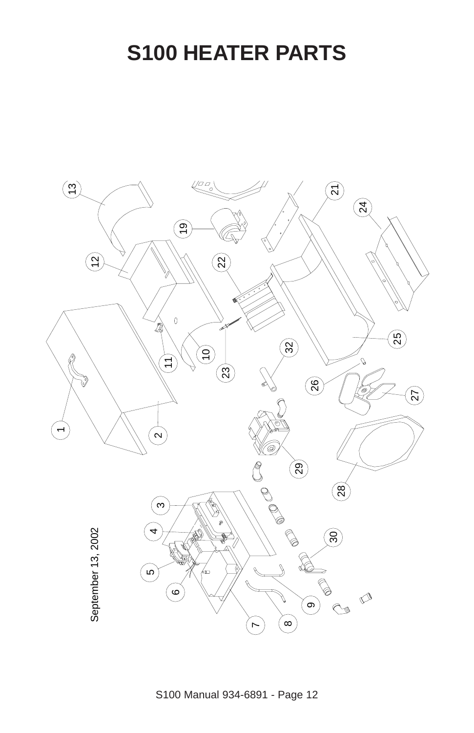#### **S100 HEATER PARTS**

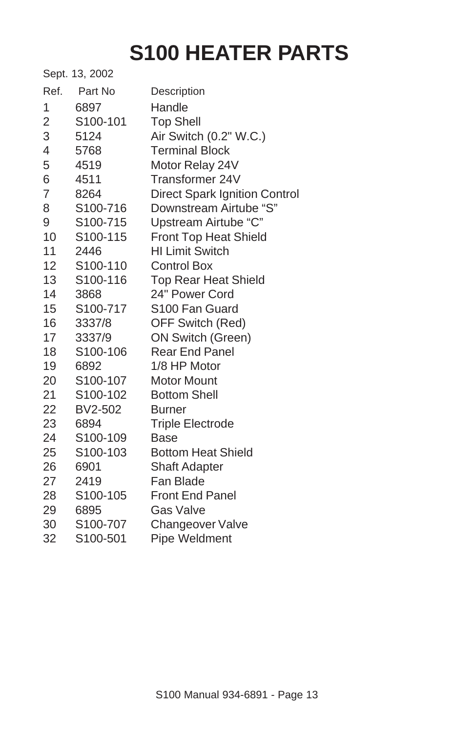### **S100 HEATER PARTS**

|                | Sept. 13, 2002        |                                      |
|----------------|-----------------------|--------------------------------------|
| Ref.           | Part No               | Description                          |
| 1              | 6897                  | Handle                               |
| $\overline{c}$ | S100-101              | <b>Top Shell</b>                     |
| 3              | 5124                  | Air Switch (0.2" W.C.)               |
| 4              | 5768                  | <b>Terminal Block</b>                |
| 5              | 4519                  | Motor Relay 24V                      |
| 6              | 4511                  | Transformer 24V                      |
| 7              | 8264                  | <b>Direct Spark Ignition Control</b> |
| 8              | S100-716              | Downstream Airtube "S"               |
| 9              | S100-715              | Upstream Airtube "C"                 |
| 10             | S100-115              | Front Top Heat Shield                |
| 11             | 2446                  | <b>HI Limit Switch</b>               |
| 12             | S100-110              | <b>Control Box</b>                   |
| 13             | S100-116              | <b>Top Rear Heat Shield</b>          |
| 14             | 3868                  | 24" Power Cord                       |
| 15             | S100-717              | S100 Fan Guard                       |
| 16             | 3337/8                | OFF Switch (Red)                     |
| 17             | 3337/9                | <b>ON Switch (Green)</b>             |
| 18             | S100-106              | <b>Rear End Panel</b>                |
| 19             | 6892                  | 1/8 HP Motor                         |
| 20             | S <sub>100</sub> -107 | Motor Mount                          |
| 21             | S100-102              | <b>Bottom Shell</b>                  |
| 22             | BV2-502               | <b>Burner</b>                        |
| 23             | 6894                  | <b>Triple Electrode</b>              |
| 24             | S100-109              | Base                                 |
| 25             | S100-103              | <b>Bottom Heat Shield</b>            |
| 26             | 6901                  | <b>Shaft Adapter</b>                 |
| 27             | 2419                  | Fan Blade                            |
| 28             | S100-105              | <b>Front End Panel</b>               |
| 29             | 6895                  | Gas Valve                            |
| 30             | S100-707              | Changeover Valve                     |
| 32             | S100-501              | Pipe Weldment                        |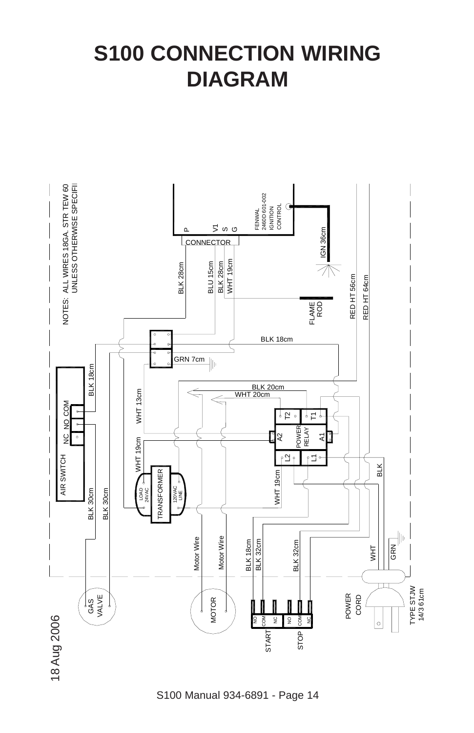#### **S100 CONNECTION WIRING DIAGRAM**